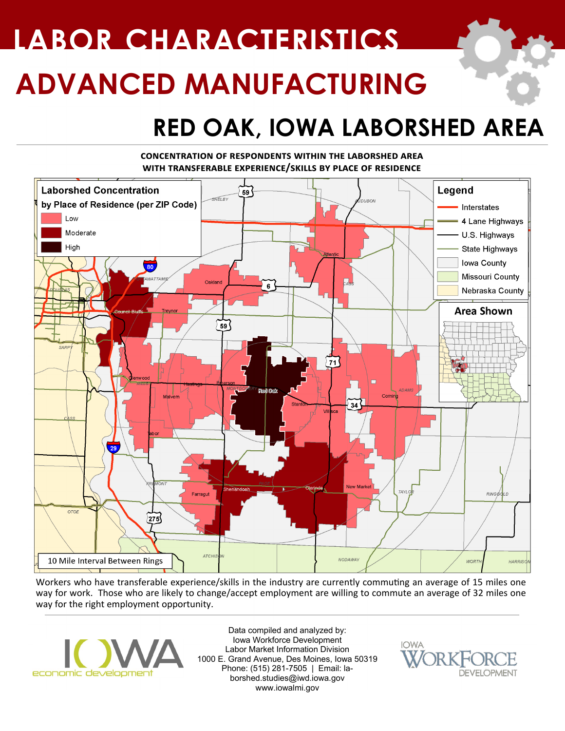# **ADVANCED MANUFACTURING LABOR CHARACTERISTICS**

### **RED OAK, IOWA LABORSHED AREA**

#### **concentration of respondents within the laborshed area with transferable experience/skills by place of residence**



Workers who have transferable experience/skills in the industry are currently commuting an average of 15 miles one way for work. Those who are likely to change/accept employment are willing to commute an average of 32 miles one way for the right employment opportunity.



Data compiled and analyzed by: Iowa Workforce Development Labor Market Information Division 1000 E. Grand Avenue, Des Moines, Iowa 50319 Phone: (515) 281-7505 | Email: laborshed.studies@iwd.iowa.gov www.iowalmi.gov

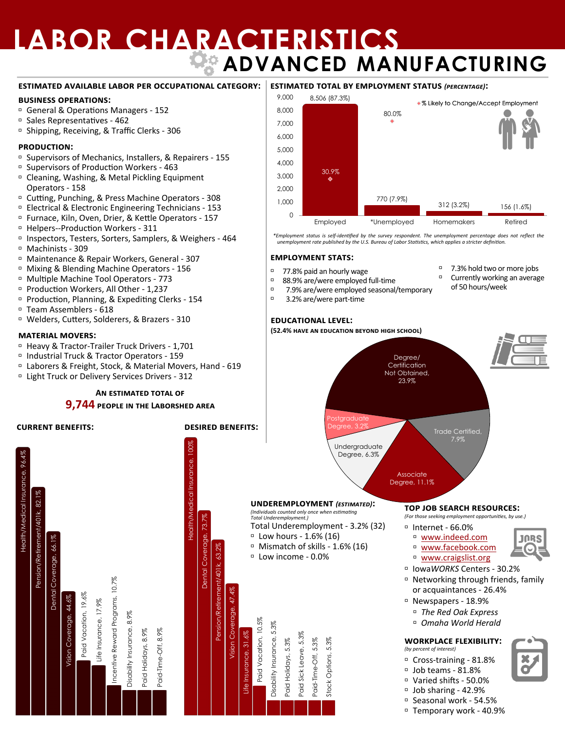## **LABOR CHARACTERISTICS ADVANCED MANUFACTURING**

#### **estimated available labor per occupational category:**

#### **business operations:**

- General & Operations Managers 152
- Sales Representatives 462
- <sup>D</sup> Shipping, Receiving, & Traffic Clerks 306

#### **production:**

- Supervisors of Mechanics, Installers, & Repairers 155
- Supervisors of Production Workers 463
- <sup>D</sup> Cleaning, Washing, & Metal Pickling Equipment Operators - 158
- Cutting, Punching, & Press Machine Operators 308
- Electrical & Electronic Engineering Technicians 153
- Furnace, Kiln, Oven, Drier, & Kettle Operators 157
- Helpers--Production Workers 311
- □ Inspectors, Testers, Sorters, Samplers, & Weighers 464
- Machinists 309
- Maintenance & Repair Workers, General 307
- Mixing & Blending Machine Operators 156
- Multiple Machine Tool Operators 773
- Production Workers, All Other 1,237
- □ Production, Planning, & Expediting Clerks 154
- Team Assemblers 618
- Welders, Cutters, Solderers, & Brazers 310

#### **material movers:**

- □ Heavy & Tractor-Trailer Truck Drivers 1,701
- Industrial Truck & Tractor Operators 159
- Laborers & Freight, Stock, & Material Movers, Hand 619
- <sup>D</sup> Light Truck or Delivery Services Drivers 312

#### **An estimated total of**

#### **9,744 people in the Laborshed area**

#### **current benefits: desired benefits:**

Health/Medical Insurance, 100% 100% 96.4% Health/Medical Insurance, 96.4% Insurance, Insurance, Pension/Retirement/401k, 82.1% **Health/Medical** Pension/Retirement/401k, 82.1% **Health/Medical** 73.7% Dental Coverage, 73.7% Dental Coverage, Dental Coverage, 66.1% Dental Coverage, 66.1 Pension/Retirement/401k, 63.2% 63.7 Pension/Retirement/401k, Incentive Reward Programs, 10.7% Incentive Reward Programs, 10.7% 47.4% Vision Coverage, 47.4% Paid Vacation, 19.6% Coverage, 44.6% Vision Coverage, 44.6% Life Insurance, 17.9% Vision Coverage, Disability Insurance, 8.9% Disability Insurance, 8.9% Paid-Time-Off, 8.9% Paid Holidays, 8.9% Life Insurance, 31.6% Vision

#### **estimated total by employment status** *(percentage)***:**



\*Employment status is self-identified by the survey respondent. The unemployment percentage does not reflect the<br>unemployment rate published by the U.S. Bureau of Labor Statistics, which applies a stricter definition.

□ 7.3% hold two or more jobs  $\Box$  Currently working an average of 50 hours/week

#### **employment stats:**

- 77.8% paid an hourly wage
- $88.9\%$  are/were employed full-time
- $7.9\%$  are/were employed seasonal/temporary
	- 3.2% are/were part-time

#### **educational level:**

**(52.4% have an education beyond high school)**



 Seasonal work - 54.5% Temporary work - 40.9%

Job sharing - 42.9%